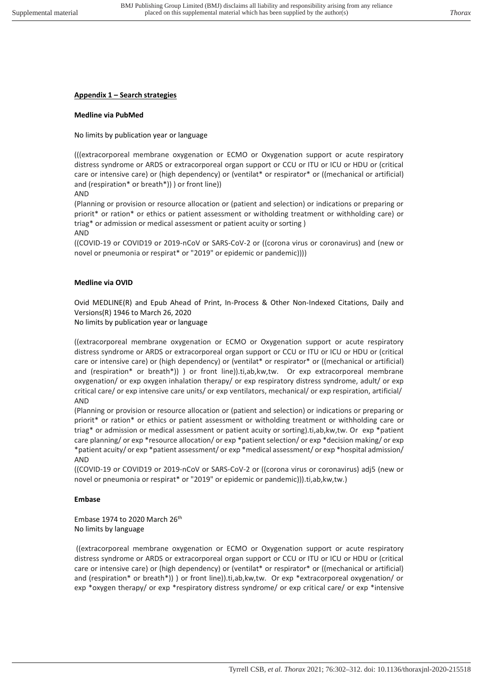# **Appendix 1 – Search strategies**

## **Medline via PubMed**

No limits by publication year or language

(((extracorporeal membrane oxygenation or ECMO or Oxygenation support or acute respiratory distress syndrome or ARDS or extracorporeal organ support or CCU or ITU or ICU or HDU or (critical care or intensive care) or (high dependency) or (ventilat\* or respirator\* or ((mechanical or artificial) and (respiration\* or breath\*)) ) or front line))

AND

(Planning or provision or resource allocation or (patient and selection) or indications or preparing or priorit\* or ration\* or ethics or patient assessment or witholding treatment or withholding care) or triag\* or admission or medical assessment or patient acuity or sorting )

AND

((COVID-19 or COVID19 or 2019-nCoV or SARS-CoV-2 or ((corona virus or coronavirus) and (new or novel or pneumonia or respirat\* or "2019" or epidemic or pandemic))))

### **Medline via OVID**

Ovid MEDLINE(R) and Epub Ahead of Print, In-Process & Other Non-Indexed Citations, Daily and Versions(R) 1946 to March 26, 2020

No limits by publication year or language

((extracorporeal membrane oxygenation or ECMO or Oxygenation support or acute respiratory distress syndrome or ARDS or extracorporeal organ support or CCU or ITU or ICU or HDU or (critical care or intensive care) or (high dependency) or (ventilat\* or respirator\* or ((mechanical or artificial) and (respiration\* or breath\*)) ) or front line)).ti,ab,kw,tw. Or exp extracorporeal membrane oxygenation/ or exp oxygen inhalation therapy/ or exp respiratory distress syndrome, adult/ or exp critical care/ or exp intensive care units/ or exp ventilators, mechanical/ or exp respiration, artificial/ AND

(Planning or provision or resource allocation or (patient and selection) or indications or preparing or priorit\* or ration\* or ethics or patient assessment or witholding treatment or withholding care or triag\* or admission or medical assessment or patient acuity or sorting).ti,ab,kw,tw. Or exp \*patient care planning/ or exp \*resource allocation/ or exp \*patient selection/ or exp \*decision making/ or exp \*patient acuity/ or exp \*patient assessment/ or exp \*medical assessment/ or exp \*hospital admission/ AND

((COVID-19 or COVID19 or 2019-nCoV or SARS-CoV-2 or ((corona virus or coronavirus) adj5 (new or novel or pneumonia or respirat\* or "2019" or epidemic or pandemic))).ti,ab,kw,tw.)

### **Embase**

Embase 1974 to 2020 March 26th No limits by language

 ((extracorporeal membrane oxygenation or ECMO or Oxygenation support or acute respiratory distress syndrome or ARDS or extracorporeal organ support or CCU or ITU or ICU or HDU or (critical care or intensive care) or (high dependency) or (ventilat\* or respirator\* or ((mechanical or artificial) and (respiration\* or breath\*)) ) or front line)).ti,ab,kw,tw. Or exp \*extracorporeal oxygenation/ or exp \*oxygen therapy/ or exp \*respiratory distress syndrome/ or exp critical care/ or exp \*intensive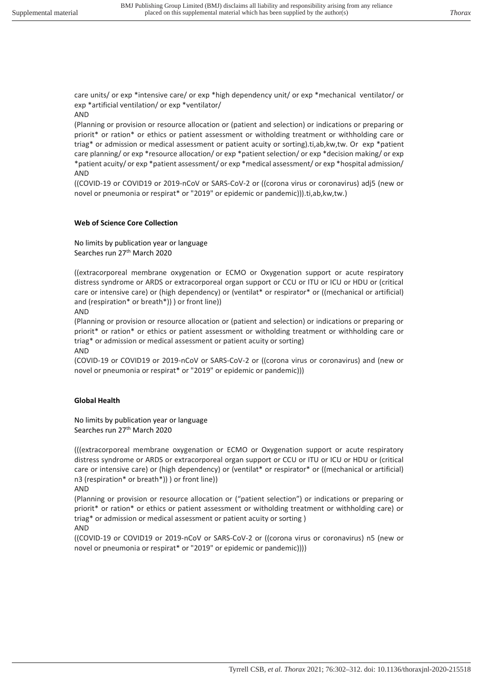care units/ or exp \*intensive care/ or exp \*high dependency unit/ or exp \*mechanical ventilator/ or exp \*artificial ventilation/ or exp \*ventilator/

### AND

(Planning or provision or resource allocation or (patient and selection) or indications or preparing or priorit\* or ration\* or ethics or patient assessment or witholding treatment or withholding care or triag\* or admission or medical assessment or patient acuity or sorting).ti,ab,kw,tw. Or exp \*patient care planning/ or exp \*resource allocation/ or exp \*patient selection/ or exp \*decision making/ or exp \*patient acuity/ or exp \*patient assessment/ or exp \*medical assessment/ or exp \*hospital admission/ AND

((COVID-19 or COVID19 or 2019-nCoV or SARS-CoV-2 or ((corona virus or coronavirus) adj5 (new or novel or pneumonia or respirat\* or "2019" or epidemic or pandemic))).ti,ab,kw,tw.)

### **Web of Science Core Collection**

No limits by publication year or language Searches run 27<sup>th</sup> March 2020

((extracorporeal membrane oxygenation or ECMO or Oxygenation support or acute respiratory distress syndrome or ARDS or extracorporeal organ support or CCU or ITU or ICU or HDU or (critical care or intensive care) or (high dependency) or (ventilat\* or respirator\* or ((mechanical or artificial) and (respiration\* or breath\*)) ) or front line))

AND

(Planning or provision or resource allocation or (patient and selection) or indications or preparing or priorit\* or ration\* or ethics or patient assessment or witholding treatment or withholding care or triag\* or admission or medical assessment or patient acuity or sorting)

AND

(COVID-19 or COVID19 or 2019-nCoV or SARS-CoV-2 or ((corona virus or coronavirus) and (new or novel or pneumonia or respirat\* or "2019" or epidemic or pandemic)))

### **Global Health**

No limits by publication year or language Searches run 27<sup>th</sup> March 2020

(((extracorporeal membrane oxygenation or ECMO or Oxygenation support or acute respiratory distress syndrome or ARDS or extracorporeal organ support or CCU or ITU or ICU or HDU or (critical care or intensive care) or (high dependency) or (ventilat\* or respirator\* or ((mechanical or artificial) n3 (respiration\* or breath\*)) ) or front line))

AND

(Planning or provision or resource allocation or ("patient selection") or indications or preparing or priorit\* or ration\* or ethics or patient assessment or witholding treatment or withholding care) or triag\* or admission or medical assessment or patient acuity or sorting ) AND

((COVID-19 or COVID19 or 2019-nCoV or SARS-CoV-2 or ((corona virus or coronavirus) n5 (new or novel or pneumonia or respirat\* or "2019" or epidemic or pandemic))))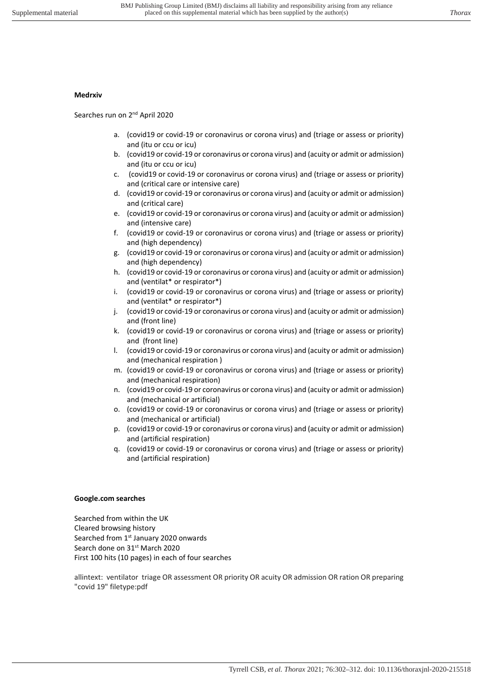### **Medrxiv**

Searches run on 2<sup>nd</sup> April 2020

- a. (covid19 or covid-19 or coronavirus or corona virus) and (triage or assess or priority) and (itu or ccu or icu)
- b. (covid19 or covid-19 or coronavirus or corona virus) and (acuity or admit or admission) and (itu or ccu or icu)
- c. (covid19 or covid-19 or coronavirus or corona virus) and (triage or assess or priority) and (critical care or intensive care)
- d. (covid19 or covid-19 or coronavirus or corona virus) and (acuity or admit or admission) and (critical care)
- e. (covid19 or covid-19 or coronavirus or corona virus) and (acuity or admit or admission) and (intensive care)
- f. (covid19 or covid-19 or coronavirus or corona virus) and (triage or assess or priority) and (high dependency)
- g. (covid19 or covid-19 or coronavirus or corona virus) and (acuity or admit or admission) and (high dependency)
- h. (covid19 or covid-19 or coronavirus or corona virus) and (acuity or admit or admission) and (ventilat\* or respirator\*)
- i. (covid19 or covid-19 or coronavirus or corona virus) and (triage or assess or priority) and (ventilat\* or respirator\*)
- j. (covid19 or covid-19 or coronavirus or corona virus) and (acuity or admit or admission) and (front line)
- k. (covid19 or covid-19 or coronavirus or corona virus) and (triage or assess or priority) and (front line)
- l. (covid19 or covid-19 or coronavirus or corona virus) and (acuity or admit or admission) and (mechanical respiration )
- m. (covid19 or covid-19 or coronavirus or corona virus) and (triage or assess or priority) and (mechanical respiration)
- n. (covid19 or covid-19 or coronavirus or corona virus) and (acuity or admit or admission) and (mechanical or artificial)
- o. (covid19 or covid-19 or coronavirus or corona virus) and (triage or assess or priority) and (mechanical or artificial)
- p. (covid19 or covid-19 or coronavirus or corona virus) and (acuity or admit or admission) and (artificial respiration)
- q. (covid19 or covid-19 or coronavirus or corona virus) and (triage or assess or priority) and (artificial respiration)

### **Google.com searches**

Searched from within the UK Cleared browsing history Searched from 1<sup>st</sup> January 2020 onwards Search done on 31<sup>st</sup> March 2020 First 100 hits (10 pages) in each of four searches

allintext: ventilator triage OR assessment OR priority OR acuity OR admission OR ration OR preparing "covid 19" filetype:pdf